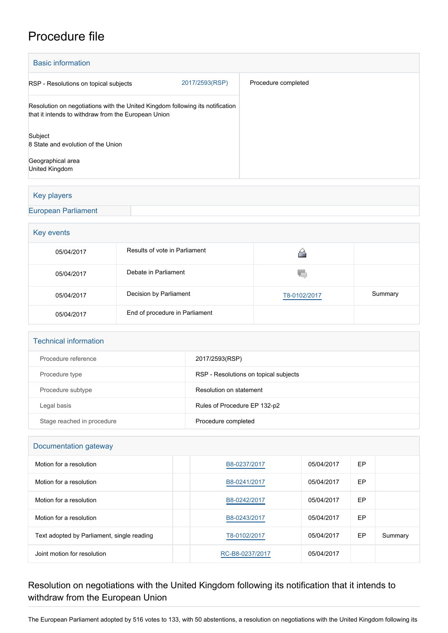# Procedure file

| <b>Basic information</b>                                                      |  |  |  |  |  |  |
|-------------------------------------------------------------------------------|--|--|--|--|--|--|
| Procedure completed                                                           |  |  |  |  |  |  |
|                                                                               |  |  |  |  |  |  |
|                                                                               |  |  |  |  |  |  |
|                                                                               |  |  |  |  |  |  |
| Resolution on negotiations with the United Kingdom following its notification |  |  |  |  |  |  |

## Key players

[European Parliament](http://www.europarl.europa.eu/)

### Key events

| -          |                                |              |         |
|------------|--------------------------------|--------------|---------|
| 05/04/2017 | Results of vote in Parliament  |              |         |
| 05/04/2017 | Debate in Parliament           | w            |         |
| 05/04/2017 | Decision by Parliament         | T8-0102/2017 | Summary |
| 05/04/2017 | End of procedure in Parliament |              |         |

#### Technical information

| Procedure reference        | 2017/2593(RSP)                        |
|----------------------------|---------------------------------------|
| Procedure type             | RSP - Resolutions on topical subjects |
| Procedure subtype          | Resolution on statement               |
| Legal basis                | Rules of Procedure EP 132-p2          |
| Stage reached in procedure | Procedure completed                   |

#### Documentation gateway

| Motion for a resolution                    | B8-0237/2017    | 05/04/2017 | EP |         |  |  |
|--------------------------------------------|-----------------|------------|----|---------|--|--|
| Motion for a resolution                    | B8-0241/2017    | 05/04/2017 | EP |         |  |  |
| Motion for a resolution                    | B8-0242/2017    | 05/04/2017 | EP |         |  |  |
| Motion for a resolution                    | B8-0243/2017    | 05/04/2017 | EP |         |  |  |
| Text adopted by Parliament, single reading | T8-0102/2017    | 05/04/2017 | EP | Summary |  |  |
| Joint motion for resolution                | RC-B8-0237/2017 | 05/04/2017 |    |         |  |  |

## Resolution on negotiations with the United Kingdom following its notification that it intends to withdraw from the European Union

The European Parliament adopted by 516 votes to 133, with 50 abstentions, a resolution on negotiations with the United Kingdom following its